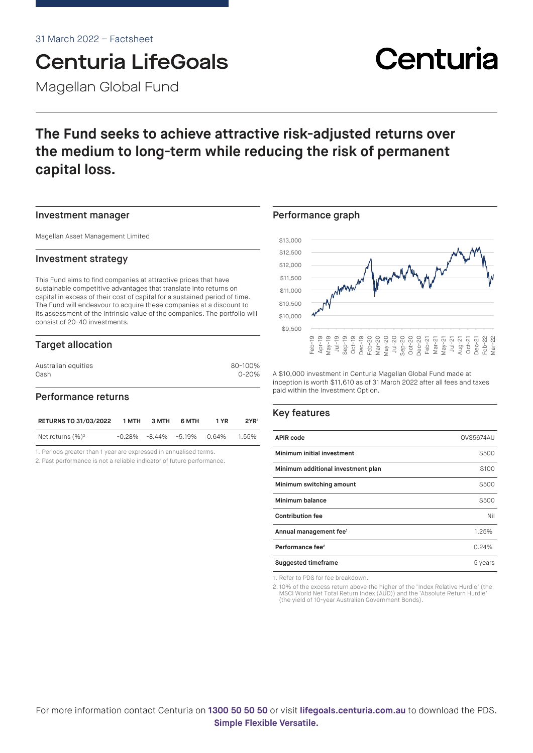# Centuria LifeGoals

Magellan Global Fund

## **The Fund seeks to achieve attractive risk-adjusted returns over the medium to long-term while reducing the risk of permanent capital loss.**

#### Investment manager

Magellan Asset Management Limited

#### Investment strategy

This Fund aims to find companies at attractive prices that have sustainable competitive advantages that translate into returns on capital in excess of their cost of capital for a sustained period of time. The Fund will endeavour to acquire these companies at a discount to its assessment of the intrinsic value of the companies. The portfolio will consist of 20-40 investments.

### Target allocation

| Australian equities | 80-100%   |
|---------------------|-----------|
| Cash                | $0 - 20%$ |
|                     |           |

#### Performance returns

| <b>RETURNS TO 31/03/2022</b> | 1 MTH | 3 MTH | 6 MTH                               | 1 YR | 2YR <sup>1</sup> |
|------------------------------|-------|-------|-------------------------------------|------|------------------|
| Net returns $(\%)^2$         |       |       | $-0.28\%$ $-8.44\%$ $-5.19\%$ 0.64% |      | 1.55%            |

1. Periods greater than 1 year are expressed in annualised terms.

2. Past performance is not a reliable indicator of future performance.

#### Performance graph



A \$10,000 investment in Centuria Magellan Global Fund made at inception is worth \$11,610 as of 31 March 2022 after all fees and taxes paid within the Investment Option.

### Key features

| <b>APIR code</b>                   | OVS5674AU |
|------------------------------------|-----------|
| Minimum initial investment         | \$500     |
| Minimum additional investment plan | \$100     |
| Minimum switching amount           | \$500     |
| Minimum balance                    | \$500     |
| <b>Contribution fee</b>            | Nil       |
| Annual management fee <sup>1</sup> | 1.25%     |
| Performance fee <sup>2</sup>       | 0.24%     |
| <b>Suggested timeframe</b>         | 5 years   |

1. Refer to PDS for fee breakdown.

2. 10% of the excess return above the higher of the 'Index Relative Hurdle' (the MSCI World Net Total Return Index (AUD)) and the 'Absolute Return Hurdle' (the yield of 10-year Australian Government Bonds).

For more information contact Centuria on **1300 50 50 50** or visit **[lifegoals.centuria.com.au](https://lifegoals.centuria.com.au)** to download the PDS. **Simple Flexible Versatile.**

# Centuria